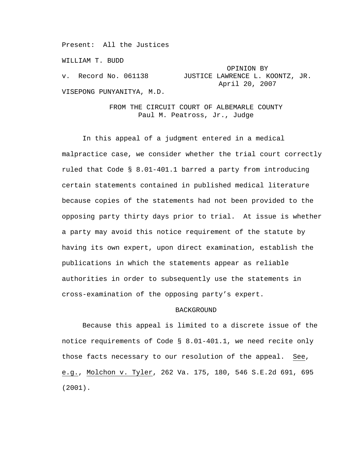Present: All the Justices

WILLIAM T. BUDD

 OPINION BY v. Record No. 061138 JUSTICE LAWRENCE L. KOONTZ, JR. April 20, 2007 VISEPONG PUNYANITYA, M.D.

# FROM THE CIRCUIT COURT OF ALBEMARLE COUNTY Paul M. Peatross, Jr., Judge

In this appeal of a judgment entered in a medical malpractice case, we consider whether the trial court correctly ruled that Code § 8.01-401.1 barred a party from introducing certain statements contained in published medical literature because copies of the statements had not been provided to the opposing party thirty days prior to trial. At issue is whether a party may avoid this notice requirement of the statute by having its own expert, upon direct examination, establish the publications in which the statements appear as reliable authorities in order to subsequently use the statements in cross-examination of the opposing party's expert.

### BACKGROUND

Because this appeal is limited to a discrete issue of the notice requirements of Code § 8.01-401.1, we need recite only those facts necessary to our resolution of the appeal. See, e.g., Molchon v. Tyler, 262 Va. 175, 180, 546 S.E.2d 691, 695 (2001).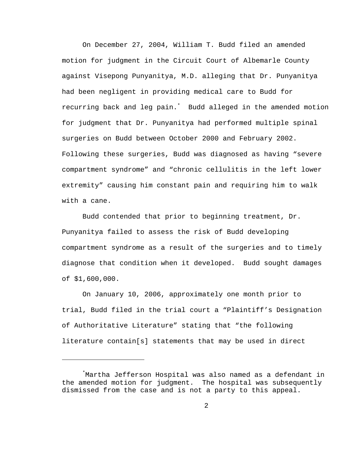On December 27, 2004, William T. Budd filed an amended motion for judgment in the Circuit Court of Albemarle County against Visepong Punyanitya, M.D. alleging that Dr. Punyanitya had been negligent in providing medical care to Budd for recurring back and leg pain.\* Budd alleged in the amended motion for judgment that Dr. Punyanitya had performed multiple spinal surgeries on Budd between October 2000 and February 2002. Following these surgeries, Budd was diagnosed as having "severe compartment syndrome" and "chronic cellulitis in the left lower extremity" causing him constant pain and requiring him to walk with a cane.

Budd contended that prior to beginning treatment, Dr. Punyanitya failed to assess the risk of Budd developing compartment syndrome as a result of the surgeries and to timely diagnose that condition when it developed. Budd sought damages of \$1,600,000.

On January 10, 2006, approximately one month prior to trial, Budd filed in the trial court a "Plaintiff's Designation of Authoritative Literature" stating that "the following literature contain[s] statements that may be used in direct

 $\overline{\phantom{0}}$ 

<sup>\*</sup> Martha Jefferson Hospital was also named as a defendant in the amended motion for judgment. The hospital was subsequently dismissed from the case and is not a party to this appeal.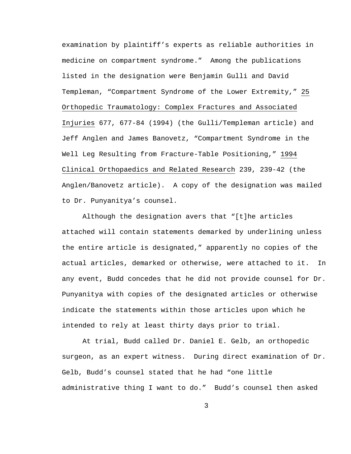examination by plaintiff's experts as reliable authorities in medicine on compartment syndrome." Among the publications listed in the designation were Benjamin Gulli and David Templeman, "Compartment Syndrome of the Lower Extremity," 25 Orthopedic Traumatology: Complex Fractures and Associated Injuries 677, 677-84 (1994) (the Gulli/Templeman article) and Jeff Anglen and James Banovetz, "Compartment Syndrome in the Well Leg Resulting from Fracture-Table Positioning," 1994 Clinical Orthopaedics and Related Research 239, 239-42 (the Anglen/Banovetz article). A copy of the designation was mailed to Dr. Punyanitya's counsel.

Although the designation avers that "[t]he articles attached will contain statements demarked by underlining unless the entire article is designated," apparently no copies of the actual articles, demarked or otherwise, were attached to it. In any event, Budd concedes that he did not provide counsel for Dr. Punyanitya with copies of the designated articles or otherwise indicate the statements within those articles upon which he intended to rely at least thirty days prior to trial.

At trial, Budd called Dr. Daniel E. Gelb, an orthopedic surgeon, as an expert witness. During direct examination of Dr. Gelb, Budd's counsel stated that he had "one little administrative thing I want to do." Budd's counsel then asked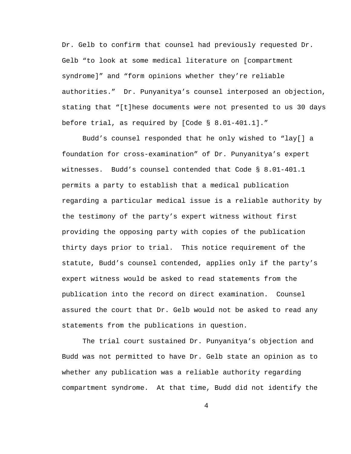Dr. Gelb to confirm that counsel had previously requested Dr. Gelb "to look at some medical literature on [compartment syndrome]" and "form opinions whether they're reliable authorities." Dr. Punyanitya's counsel interposed an objection, stating that "[t]hese documents were not presented to us 30 days before trial, as required by [Code § 8.01-401.1]."

Budd's counsel responded that he only wished to "lay[] a foundation for cross-examination" of Dr. Punyanitya's expert witnesses. Budd's counsel contended that Code § 8.01-401.1 permits a party to establish that a medical publication regarding a particular medical issue is a reliable authority by the testimony of the party's expert witness without first providing the opposing party with copies of the publication thirty days prior to trial. This notice requirement of the statute, Budd's counsel contended, applies only if the party's expert witness would be asked to read statements from the publication into the record on direct examination. Counsel assured the court that Dr. Gelb would not be asked to read any statements from the publications in question.

The trial court sustained Dr. Punyanitya's objection and Budd was not permitted to have Dr. Gelb state an opinion as to whether any publication was a reliable authority regarding compartment syndrome. At that time, Budd did not identify the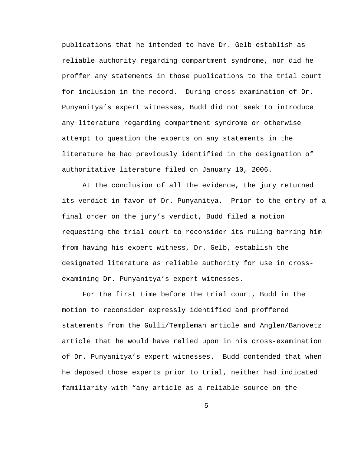publications that he intended to have Dr. Gelb establish as reliable authority regarding compartment syndrome, nor did he proffer any statements in those publications to the trial court for inclusion in the record. During cross-examination of Dr. Punyanitya's expert witnesses, Budd did not seek to introduce any literature regarding compartment syndrome or otherwise attempt to question the experts on any statements in the literature he had previously identified in the designation of authoritative literature filed on January 10, 2006.

At the conclusion of all the evidence, the jury returned its verdict in favor of Dr. Punyanitya. Prior to the entry of a final order on the jury's verdict, Budd filed a motion requesting the trial court to reconsider its ruling barring him from having his expert witness, Dr. Gelb, establish the designated literature as reliable authority for use in crossexamining Dr. Punyanitya's expert witnesses.

For the first time before the trial court, Budd in the motion to reconsider expressly identified and proffered statements from the Gulli/Templeman article and Anglen/Banovetz article that he would have relied upon in his cross-examination of Dr. Punyanitya's expert witnesses. Budd contended that when he deposed those experts prior to trial, neither had indicated familiarity with "any article as a reliable source on the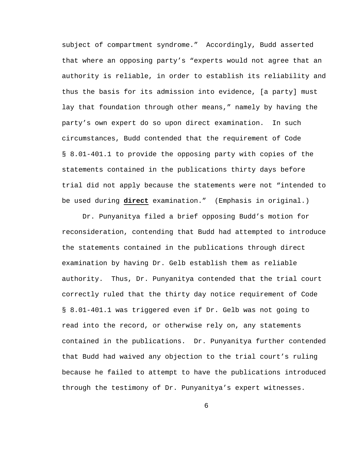subject of compartment syndrome." Accordingly, Budd asserted that where an opposing party's "experts would not agree that an authority is reliable, in order to establish its reliability and thus the basis for its admission into evidence, [a party] must lay that foundation through other means," namely by having the party's own expert do so upon direct examination. In such circumstances, Budd contended that the requirement of Code § 8.01-401.1 to provide the opposing party with copies of the statements contained in the publications thirty days before trial did not apply because the statements were not "intended to be used during **direct** examination." (Emphasis in original.)

Dr. Punyanitya filed a brief opposing Budd's motion for reconsideration, contending that Budd had attempted to introduce the statements contained in the publications through direct examination by having Dr. Gelb establish them as reliable authority. Thus, Dr. Punyanitya contended that the trial court correctly ruled that the thirty day notice requirement of Code § 8.01-401.1 was triggered even if Dr. Gelb was not going to read into the record, or otherwise rely on, any statements contained in the publications. Dr. Punyanitya further contended that Budd had waived any objection to the trial court's ruling because he failed to attempt to have the publications introduced through the testimony of Dr. Punyanitya's expert witnesses.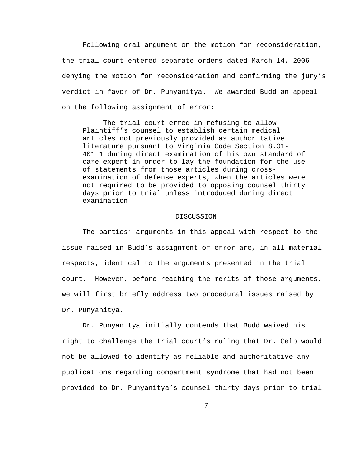Following oral argument on the motion for reconsideration, the trial court entered separate orders dated March 14, 2006 denying the motion for reconsideration and confirming the jury's verdict in favor of Dr. Punyanitya. We awarded Budd an appeal on the following assignment of error:

 The trial court erred in refusing to allow Plaintiff's counsel to establish certain medical articles not previously provided as authoritative literature pursuant to Virginia Code Section 8.01- 401.1 during direct examination of his own standard of care expert in order to lay the foundation for the use of statements from those articles during crossexamination of defense experts, when the articles were not required to be provided to opposing counsel thirty days prior to trial unless introduced during direct examination.

#### DISCUSSION

The parties' arguments in this appeal with respect to the issue raised in Budd's assignment of error are, in all material respects, identical to the arguments presented in the trial court. However, before reaching the merits of those arguments, we will first briefly address two procedural issues raised by Dr. Punyanitya.

Dr. Punyanitya initially contends that Budd waived his right to challenge the trial court's ruling that Dr. Gelb would not be allowed to identify as reliable and authoritative any publications regarding compartment syndrome that had not been provided to Dr. Punyanitya's counsel thirty days prior to trial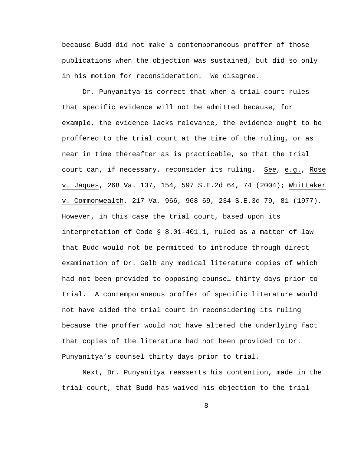because Budd did not make a contemporaneous proffer of those publications when the objection was sustained, but did so only in his motion for reconsideration. We disagree.

Dr. Punyanitya is correct that when a trial court rules that specific evidence will not be admitted because, for example, the evidence lacks relevance, the evidence ought to be proffered to the trial court at the time of the ruling, or as near in time thereafter as is practicable, so that the trial court can, if necessary, reconsider its ruling. See, e.g., Rose v. Jaques, 268 Va. 137, 154, 597 S.E.2d 64, 74 (2004); Whittaker v. Commonwealth, 217 Va. 966, 968-69, 234 S.E.3d 79, 81 (1977). However, in this case the trial court, based upon its interpretation of Code § 8.01-401.1, ruled as a matter of law that Budd would not be permitted to introduce through direct examination of Dr. Gelb any medical literature copies of which had not been provided to opposing counsel thirty days prior to trial. A contemporaneous proffer of specific literature would not have aided the trial court in reconsidering its ruling because the proffer would not have altered the underlying fact that copies of the literature had not been provided to Dr. Punyanitya's counsel thirty days prior to trial.

Next, Dr. Punyanitya reasserts his contention, made in the trial court, that Budd has waived his objection to the trial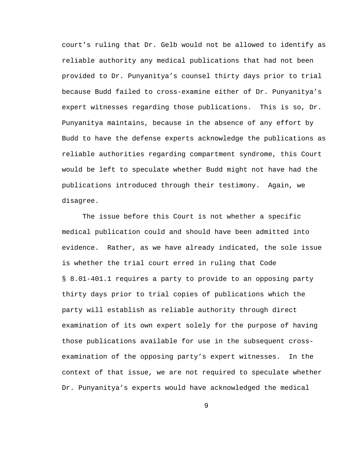court's ruling that Dr. Gelb would not be allowed to identify as reliable authority any medical publications that had not been provided to Dr. Punyanitya's counsel thirty days prior to trial because Budd failed to cross-examine either of Dr. Punyanitya's expert witnesses regarding those publications. This is so, Dr. Punyanitya maintains, because in the absence of any effort by Budd to have the defense experts acknowledge the publications as reliable authorities regarding compartment syndrome, this Court would be left to speculate whether Budd might not have had the publications introduced through their testimony. Again, we disagree.

The issue before this Court is not whether a specific medical publication could and should have been admitted into evidence. Rather, as we have already indicated, the sole issue is whether the trial court erred in ruling that Code § 8.01-401.1 requires a party to provide to an opposing party thirty days prior to trial copies of publications which the party will establish as reliable authority through direct examination of its own expert solely for the purpose of having those publications available for use in the subsequent crossexamination of the opposing party's expert witnesses. In the context of that issue, we are not required to speculate whether Dr. Punyanitya's experts would have acknowledged the medical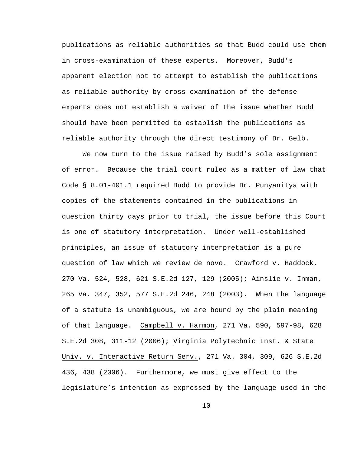publications as reliable authorities so that Budd could use them in cross-examination of these experts. Moreover, Budd's apparent election not to attempt to establish the publications as reliable authority by cross-examination of the defense experts does not establish a waiver of the issue whether Budd should have been permitted to establish the publications as reliable authority through the direct testimony of Dr. Gelb.

We now turn to the issue raised by Budd's sole assignment of error. Because the trial court ruled as a matter of law that Code § 8.01-401.1 required Budd to provide Dr. Punyanitya with copies of the statements contained in the publications in question thirty days prior to trial, the issue before this Court is one of statutory interpretation. Under well-established principles, an issue of statutory interpretation is a pure question of law which we review de novo. Crawford v. Haddock, 270 Va. 524, 528, 621 S.E.2d 127, 129 (2005); Ainslie v. Inman, 265 Va. 347, 352, 577 S.E.2d 246, 248 (2003). When the language of a statute is unambiguous, we are bound by the plain meaning of that language. Campbell v. Harmon, 271 Va. 590, 597-98, 628 S.E.2d 308, 311-12 (2006); Virginia Polytechnic Inst. & State Univ. v. Interactive Return Serv., 271 Va. 304, 309, 626 S.E.2d 436, 438 (2006). Furthermore, we must give effect to the legislature's intention as expressed by the language used in the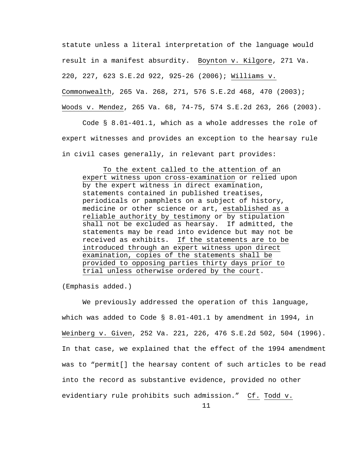statute unless a literal interpretation of the language would result in a manifest absurdity. Boynton v. Kilgore, 271 Va. 220, 227, 623 S.E.2d 922, 925-26 (2006); Williams v. Commonwealth, 265 Va. 268, 271, 576 S.E.2d 468, 470 (2003); Woods v. Mendez, 265 Va. 68, 74-75, 574 S.E.2d 263, 266 (2003).

Code § 8.01-401.1, which as a whole addresses the role of expert witnesses and provides an exception to the hearsay rule in civil cases generally, in relevant part provides:

To the extent called to the attention of an expert witness upon cross-examination or relied upon by the expert witness in direct examination, statements contained in published treatises, periodicals or pamphlets on a subject of history, medicine or other science or art, established as a reliable authority by testimony or by stipulation shall not be excluded as hearsay. If admitted, the statements may be read into evidence but may not be received as exhibits. If the statements are to be introduced through an expert witness upon direct examination, copies of the statements shall be provided to opposing parties thirty days prior to trial unless otherwise ordered by the court.

(Emphasis added.)

We previously addressed the operation of this language, which was added to Code § 8.01-401.1 by amendment in 1994, in Weinberg v. Given, 252 Va. 221, 226, 476 S.E.2d 502, 504 (1996). In that case, we explained that the effect of the 1994 amendment was to "permit[] the hearsay content of such articles to be read into the record as substantive evidence, provided no other evidentiary rule prohibits such admission." Cf. Todd v.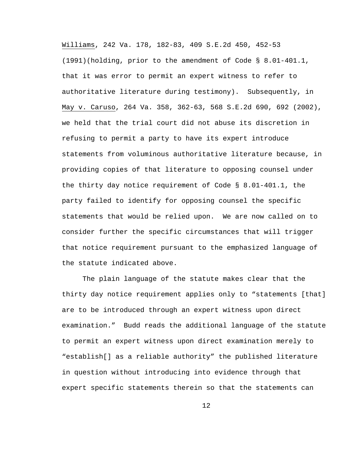Williams, 242 Va. 178, 182-83, 409 S.E.2d 450, 452-53 (1991)(holding, prior to the amendment of Code § 8.01-401.1, that it was error to permit an expert witness to refer to authoritative literature during testimony). Subsequently, in May v. Caruso, 264 Va. 358, 362-63, 568 S.E.2d 690, 692 (2002), we held that the trial court did not abuse its discretion in refusing to permit a party to have its expert introduce statements from voluminous authoritative literature because, in providing copies of that literature to opposing counsel under the thirty day notice requirement of Code § 8.01-401.1, the party failed to identify for opposing counsel the specific statements that would be relied upon. We are now called on to consider further the specific circumstances that will trigger that notice requirement pursuant to the emphasized language of the statute indicated above.

The plain language of the statute makes clear that the thirty day notice requirement applies only to "statements [that] are to be introduced through an expert witness upon direct examination." Budd reads the additional language of the statute to permit an expert witness upon direct examination merely to "establish[] as a reliable authority" the published literature in question without introducing into evidence through that expert specific statements therein so that the statements can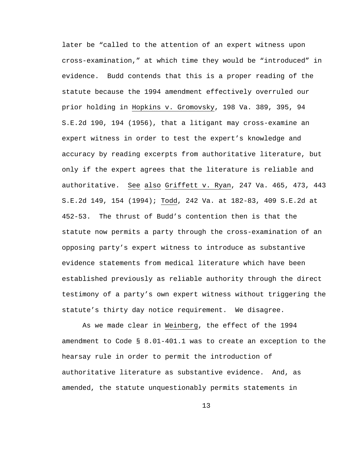later be "called to the attention of an expert witness upon cross-examination," at which time they would be "introduced" in evidence. Budd contends that this is a proper reading of the statute because the 1994 amendment effectively overruled our prior holding in Hopkins v. Gromovsky, 198 Va. 389, 395, 94 S.E.2d 190, 194 (1956), that a litigant may cross-examine an expert witness in order to test the expert's knowledge and accuracy by reading excerpts from authoritative literature, but only if the expert agrees that the literature is reliable and authoritative. See also Griffett v. Ryan, 247 Va. 465, 473, 443 S.E.2d 149, 154 (1994); Todd, 242 Va. at 182-83, 409 S.E.2d at 452-53. The thrust of Budd's contention then is that the statute now permits a party through the cross-examination of an opposing party's expert witness to introduce as substantive evidence statements from medical literature which have been established previously as reliable authority through the direct testimony of a party's own expert witness without triggering the statute's thirty day notice requirement. We disagree.

As we made clear in Weinberg, the effect of the 1994 amendment to Code § 8.01-401.1 was to create an exception to the hearsay rule in order to permit the introduction of authoritative literature as substantive evidence. And, as amended, the statute unquestionably permits statements in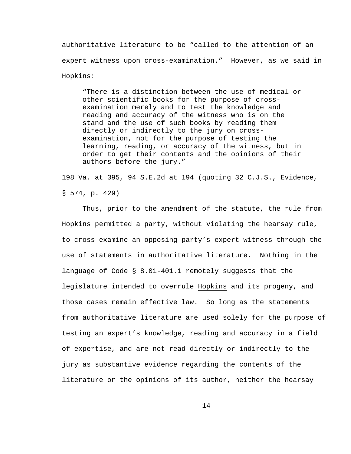authoritative literature to be "called to the attention of an expert witness upon cross-examination." However, as we said in Hopkins:

"There is a distinction between the use of medical or other scientific books for the purpose of crossexamination merely and to test the knowledge and reading and accuracy of the witness who is on the stand and the use of such books by reading them directly or indirectly to the jury on crossexamination, not for the purpose of testing the learning, reading, or accuracy of the witness, but in order to get their contents and the opinions of their authors before the jury."

198 Va. at 395, 94 S.E.2d at 194 (quoting 32 C.J.S., Evidence, § 574, p. 429)

Thus, prior to the amendment of the statute, the rule from Hopkins permitted a party, without violating the hearsay rule, to cross-examine an opposing party's expert witness through the use of statements in authoritative literature. Nothing in the language of Code § 8.01-401.1 remotely suggests that the legislature intended to overrule Hopkins and its progeny, and those cases remain effective law. So long as the statements from authoritative literature are used solely for the purpose of testing an expert's knowledge, reading and accuracy in a field of expertise, and are not read directly or indirectly to the jury as substantive evidence regarding the contents of the literature or the opinions of its author, neither the hearsay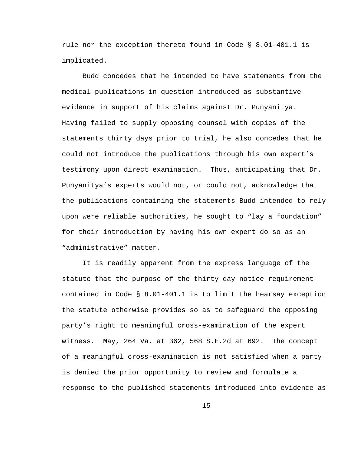rule nor the exception thereto found in Code § 8.01-401.1 is implicated.

Budd concedes that he intended to have statements from the medical publications in question introduced as substantive evidence in support of his claims against Dr. Punyanitya. Having failed to supply opposing counsel with copies of the statements thirty days prior to trial, he also concedes that he could not introduce the publications through his own expert's testimony upon direct examination. Thus, anticipating that Dr. Punyanitya's experts would not, or could not, acknowledge that the publications containing the statements Budd intended to rely upon were reliable authorities, he sought to "lay a foundation" for their introduction by having his own expert do so as an "administrative" matter.

It is readily apparent from the express language of the statute that the purpose of the thirty day notice requirement contained in Code § 8.01-401.1 is to limit the hearsay exception the statute otherwise provides so as to safeguard the opposing party's right to meaningful cross-examination of the expert witness. May, 264 Va. at 362, 568 S.E.2d at 692. The concept of a meaningful cross-examination is not satisfied when a party is denied the prior opportunity to review and formulate a response to the published statements introduced into evidence as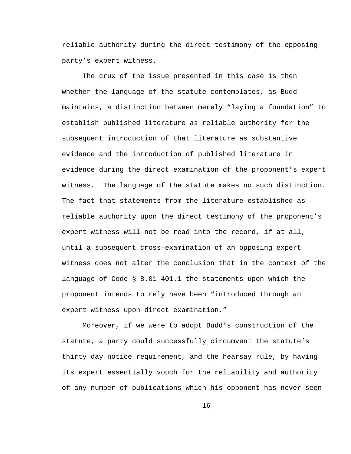reliable authority during the direct testimony of the opposing party's expert witness.

The crux of the issue presented in this case is then whether the language of the statute contemplates, as Budd maintains, a distinction between merely "laying a foundation" to establish published literature as reliable authority for the subsequent introduction of that literature as substantive evidence and the introduction of published literature in evidence during the direct examination of the proponent's expert witness. The language of the statute makes no such distinction. The fact that statements from the literature established as reliable authority upon the direct testimony of the proponent's expert witness will not be read into the record, if at all, until a subsequent cross-examination of an opposing expert witness does not alter the conclusion that in the context of the language of Code § 8.01-401.1 the statements upon which the proponent intends to rely have been "introduced through an expert witness upon direct examination."

Moreover, if we were to adopt Budd's construction of the statute, a party could successfully circumvent the statute's thirty day notice requirement, and the hearsay rule, by having its expert essentially vouch for the reliability and authority of any number of publications which his opponent has never seen